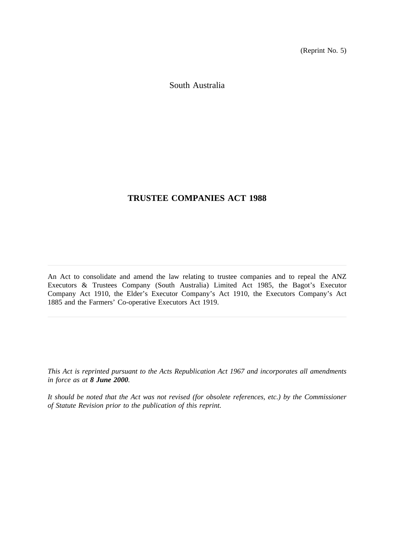(Reprint No. 5)

South Australia

# **TRUSTEE COMPANIES ACT 1988**

An Act to consolidate and amend the law relating to trustee companies and to repeal the ANZ Executors & Trustees Company (South Australia) Limited Act 1985, the Bagot's Executor Company Act 1910, the Elder's Executor Company's Act 1910, the Executors Company's Act 1885 and the Farmers' Co-operative Executors Act 1919.

*This Act is reprinted pursuant to the Acts Republication Act 1967 and incorporates all amendments in force as at 8 June 2000.*

*It should be noted that the Act was not revised (for obsolete references, etc.) by the Commissioner of Statute Revision prior to the publication of this reprint.*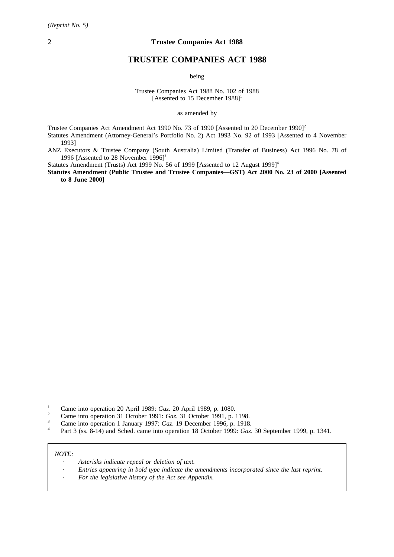# **TRUSTEE COMPANIES ACT 1988**

being

Trustee Companies Act 1988 No. 102 of 1988 [Assented to 15 December 1988]<sup>1</sup>

as amended by

Trustee Companies Act Amendment Act 1990 No. 73 of 1990 [Assented to 20 December 1990]<sup>2</sup>

Statutes Amendment (Attorney-General's Portfolio No. 2) Act 1993 No. 92 of 1993 [Assented to 4 November 1993]

ANZ Executors & Trustee Company (South Australia) Limited (Transfer of Business) Act 1996 No. 78 of 1996 [Assented to 28 November 1996]<sup>3</sup>

Statutes Amendment (Trusts) Act 1999 No. 56 of 1999 [Assented to 12 August 1999]<sup>4</sup>

**Statutes Amendment (Public Trustee and Trustee Companies—GST) Act 2000 No. 23 of 2000 [Assented to 8 June 2000]**

- <sup>1</sup> Came into operation 20 April 1989: *Gaz*. 20 April 1989, p. 1080.<br><sup>2</sup> Came into operation 31 October 1991: *Gaz*. 31 October 1991, p. 1
- <sup>2</sup> Came into operation 31 October 1991: *Gaz*. 31 October 1991, p. 1198.<br>Came into operation 1 January 1997: *Gaz*. 19 December 1996, p. 1918
- <sup>3</sup> Came into operation 1 January 1997: *Gaz*. 19 December 1996, p. 1918.
- <sup>4</sup> Part 3 (ss. 8-14) and Sched. came into operation 18 October 1999: *Gaz*. 30 September 1999, p. 1341.

*NOTE:*

- *Asterisks indicate repeal or deletion of text.*
- *Entries appearing in bold type indicate the amendments incorporated since the last reprint.*
- *For the legislative history of the Act see Appendix.*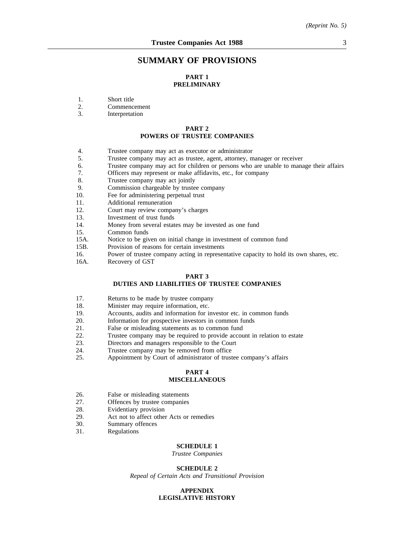# **SUMMARY OF PROVISIONS**

## **PART 1 PRELIMINARY**

- 1. Short title<br>2. Commenc
- 2. Commencement<br>3 Interpretation
- **Interpretation**

## **PART 2 POWERS OF TRUSTEE COMPANIES**

- 4. Trustee company may act as executor or administrator
- 5. Trustee company may act as trustee, agent, attorney, manager or receiver<br>6. Trustee company may act for children or persons who are unable to mana
- 6. Trustee company may act for children or persons who are unable to manage their affairs 7. Officers may represent or make affidavits, etc., for company
- 7. Officers may represent or make affidavits, etc., for company 8. Trustee company may act jointly
- 8. Trustee company may act jointly<br>9. Commission chargeable by truste
- Commission chargeable by trustee company
- 10. Fee for administering perpetual trust
- 11. Additional remuneration
- 12. Court may review company's charges
- 13. Investment of trust funds
- 14. Money from several estates may be invested as one fund
- 15. Common funds
- 15A. Notice to be given on initial change in investment of common fund
- 15B. Provision of reasons for certain investments
- 16. Power of trustee company acting in representative capacity to hold its own shares, etc.
- 16A. Recovery of GST

#### **PART 3 DUTIES AND LIABILITIES OF TRUSTEE COMPANIES**

- 17. Returns to be made by trustee company
- 18. Minister may require information, etc.
- 19. Accounts, audits and information for investor etc. in common funds
- 20. Information for prospective investors in common funds
- 21. False or misleading statements as to common fund
- 22. Trustee company may be required to provide account in relation to estate
- 23. Directors and managers responsible to the Court
- 24. Trustee company may be removed from office<br>25. Appointment by Court of administrator of trust
- Appointment by Court of administrator of trustee company's affairs

#### **PART 4 MISCELLANEOUS**

- 26. False or misleading statements
- 27. Offences by trustee companies
- 28. Evidentiary provision
- 29. Act not to affect other Acts or remedies<br>30. Summary offences
- 30. Summary offences<br>31. Regulations
- **Regulations**

#### **SCHEDULE 1**

*Trustee Companies*

#### **SCHEDULE 2**

*Repeal of Certain Acts and Transitional Provision*

#### **APPENDIX LEGISLATIVE HISTORY**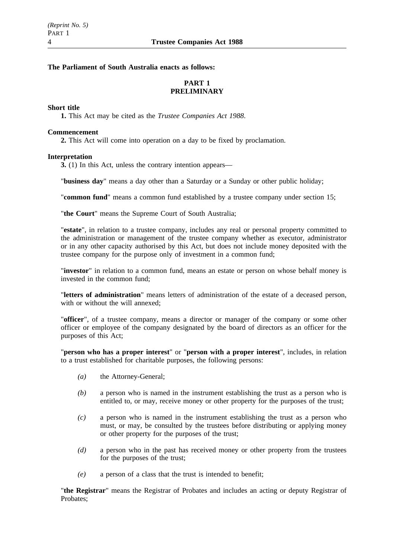## **The Parliament of South Australia enacts as follows:**

# **PART 1 PRELIMINARY**

## **Short title**

**1.** This Act may be cited as the *Trustee Companies Act 1988*.

## **Commencement**

**2.** This Act will come into operation on a day to be fixed by proclamation.

## **Interpretation**

**3.** (1) In this Act, unless the contrary intention appears—

"**business day**" means a day other than a Saturday or a Sunday or other public holiday;

"**common fund**" means a common fund established by a trustee company under section 15;

"**the Court**" means the Supreme Court of South Australia;

"**estate**", in relation to a trustee company, includes any real or personal property committed to the administration or management of the trustee company whether as executor, administrator or in any other capacity authorised by this Act, but does not include money deposited with the trustee company for the purpose only of investment in a common fund;

"**investor**" in relation to a common fund, means an estate or person on whose behalf money is invested in the common fund;

"**letters of administration**" means letters of administration of the estate of a deceased person, with or without the will annexed:

"**officer**", of a trustee company, means a director or manager of the company or some other officer or employee of the company designated by the board of directors as an officer for the purposes of this Act;

"**person who has a proper interest**" or "**person with a proper interest**", includes, in relation to a trust established for charitable purposes, the following persons:

- *(a)* the Attorney-General;
- *(b)* a person who is named in the instrument establishing the trust as a person who is entitled to, or may, receive money or other property for the purposes of the trust;
- *(c)* a person who is named in the instrument establishing the trust as a person who must, or may, be consulted by the trustees before distributing or applying money or other property for the purposes of the trust;
- *(d)* a person who in the past has received money or other property from the trustees for the purposes of the trust;
- *(e)* a person of a class that the trust is intended to benefit;

"**the Registrar**" means the Registrar of Probates and includes an acting or deputy Registrar of Probates;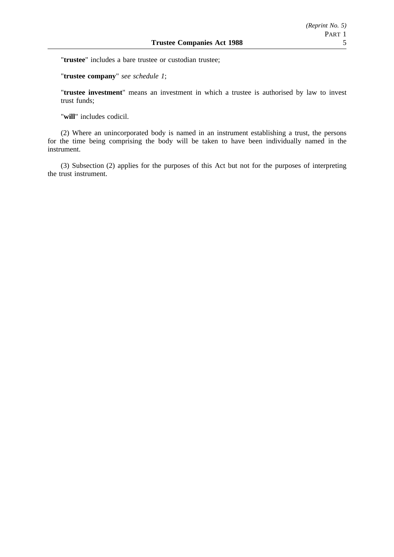"**trustee**" includes a bare trustee or custodian trustee;

"**trustee company**" *see schedule 1*;

"**trustee investment**" means an investment in which a trustee is authorised by law to invest trust funds;

"**will**" includes codicil.

(2) Where an unincorporated body is named in an instrument establishing a trust, the persons for the time being comprising the body will be taken to have been individually named in the instrument.

(3) Subsection (2) applies for the purposes of this Act but not for the purposes of interpreting the trust instrument.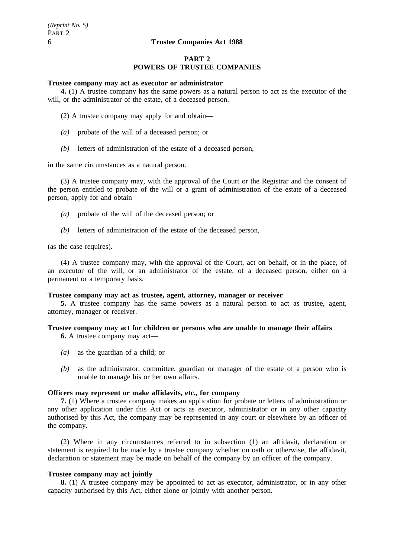## **PART 2 POWERS OF TRUSTEE COMPANIES**

#### **Trustee company may act as executor or administrator**

**4.** (1) A trustee company has the same powers as a natural person to act as the executor of the will, or the administrator of the estate, of a deceased person.

- (2) A trustee company may apply for and obtain—
- *(a)* probate of the will of a deceased person; or
- *(b)* letters of administration of the estate of a deceased person,

in the same circumstances as a natural person.

(3) A trustee company may, with the approval of the Court or the Registrar and the consent of the person entitled to probate of the will or a grant of administration of the estate of a deceased person, apply for and obtain—

- *(a)* probate of the will of the deceased person; or
- *(b)* letters of administration of the estate of the deceased person,

(as the case requires).

(4) A trustee company may, with the approval of the Court, act on behalf, or in the place, of an executor of the will, or an administrator of the estate, of a deceased person, either on a permanent or a temporary basis.

## **Trustee company may act as trustee, agent, attorney, manager or receiver**

**5.** A trustee company has the same powers as a natural person to act as trustee, agent, attorney, manager or receiver.

# **Trustee company may act for children or persons who are unable to manage their affairs**

**6.** A trustee company may act—

- *(a)* as the guardian of a child; or
- *(b)* as the administrator, committee, guardian or manager of the estate of a person who is unable to manage his or her own affairs.

## **Officers may represent or make affidavits, etc., for company**

**7.** (1) Where a trustee company makes an application for probate or letters of administration or any other application under this Act or acts as executor, administrator or in any other capacity authorised by this Act, the company may be represented in any court or elsewhere by an officer of the company.

(2) Where in any circumstances referred to in subsection (1) an affidavit, declaration or statement is required to be made by a trustee company whether on oath or otherwise, the affidavit, declaration or statement may be made on behalf of the company by an officer of the company.

## **Trustee company may act jointly**

**8.** (1) A trustee company may be appointed to act as executor, administrator, or in any other capacity authorised by this Act, either alone or jointly with another person.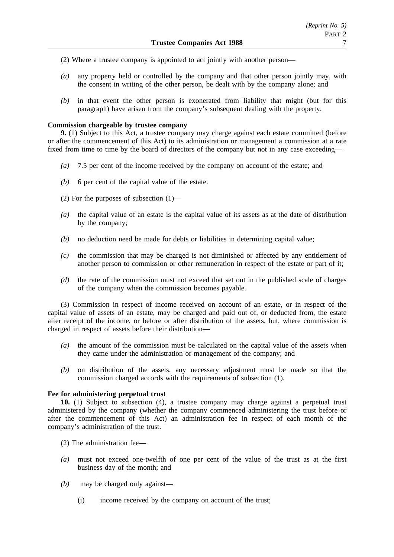- (2) Where a trustee company is appointed to act jointly with another person—
- *(a)* any property held or controlled by the company and that other person jointly may, with the consent in writing of the other person, be dealt with by the company alone; and
- *(b)* in that event the other person is exonerated from liability that might (but for this paragraph) have arisen from the company's subsequent dealing with the property.

## **Commission chargeable by trustee company**

**9.** (1) Subject to this Act, a trustee company may charge against each estate committed (before or after the commencement of this Act) to its administration or management a commission at a rate fixed from time to time by the board of directors of the company but not in any case exceeding—

- *(a)* 7.5 per cent of the income received by the company on account of the estate; and
- *(b)* 6 per cent of the capital value of the estate.
- (2) For the purposes of subsection (1)—
- *(a)* the capital value of an estate is the capital value of its assets as at the date of distribution by the company;
- *(b)* no deduction need be made for debts or liabilities in determining capital value;
- *(c)* the commission that may be charged is not diminished or affected by any entitlement of another person to commission or other remuneration in respect of the estate or part of it;
- *(d)* the rate of the commission must not exceed that set out in the published scale of charges of the company when the commission becomes payable.

(3) Commission in respect of income received on account of an estate, or in respect of the capital value of assets of an estate, may be charged and paid out of, or deducted from, the estate after receipt of the income, or before or after distribution of the assets, but, where commission is charged in respect of assets before their distribution—

- *(a)* the amount of the commission must be calculated on the capital value of the assets when they came under the administration or management of the company; and
- *(b)* on distribution of the assets, any necessary adjustment must be made so that the commission charged accords with the requirements of subsection (1).

# **Fee for administering perpetual trust**

**10.** (1) Subject to subsection (4), a trustee company may charge against a perpetual trust administered by the company (whether the company commenced administering the trust before or after the commencement of this Act) an administration fee in respect of each month of the company's administration of the trust.

(2) The administration fee—

- *(a)* must not exceed one-twelfth of one per cent of the value of the trust as at the first business day of the month; and
- *(b)* may be charged only against—
	- (i) income received by the company on account of the trust;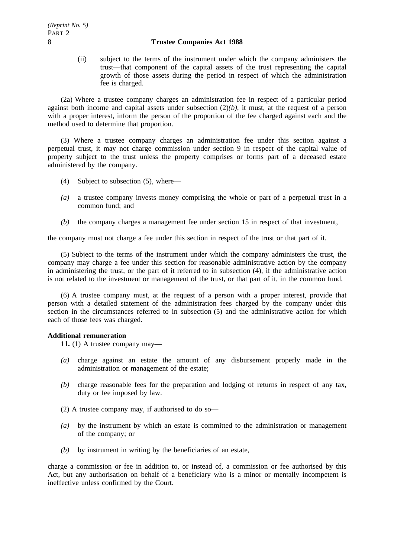(ii) subject to the terms of the instrument under which the company administers the trust—that component of the capital assets of the trust representing the capital growth of those assets during the period in respect of which the administration fee is charged.

(2a) Where a trustee company charges an administration fee in respect of a particular period against both income and capital assets under subsection (2)*(b)*, it must, at the request of a person with a proper interest, inform the person of the proportion of the fee charged against each and the method used to determine that proportion.

(3) Where a trustee company charges an administration fee under this section against a perpetual trust, it may not charge commission under section 9 in respect of the capital value of property subject to the trust unless the property comprises or forms part of a deceased estate administered by the company.

- (4) Subject to subsection (5), where—
- *(a)* a trustee company invests money comprising the whole or part of a perpetual trust in a common fund; and
- *(b)* the company charges a management fee under section 15 in respect of that investment,

the company must not charge a fee under this section in respect of the trust or that part of it.

(5) Subject to the terms of the instrument under which the company administers the trust, the company may charge a fee under this section for reasonable administrative action by the company in administering the trust, or the part of it referred to in subsection (4), if the administrative action is not related to the investment or management of the trust, or that part of it, in the common fund.

(6) A trustee company must, at the request of a person with a proper interest, provide that person with a detailed statement of the administration fees charged by the company under this section in the circumstances referred to in subsection (5) and the administrative action for which each of those fees was charged.

# **Additional remuneration**

**11.** (1) A trustee company may—

- *(a)* charge against an estate the amount of any disbursement properly made in the administration or management of the estate;
- *(b)* charge reasonable fees for the preparation and lodging of returns in respect of any tax, duty or fee imposed by law.
- (2) A trustee company may, if authorised to do so—
- *(a)* by the instrument by which an estate is committed to the administration or management of the company; or
- *(b)* by instrument in writing by the beneficiaries of an estate,

charge a commission or fee in addition to, or instead of, a commission or fee authorised by this Act, but any authorisation on behalf of a beneficiary who is a minor or mentally incompetent is ineffective unless confirmed by the Court.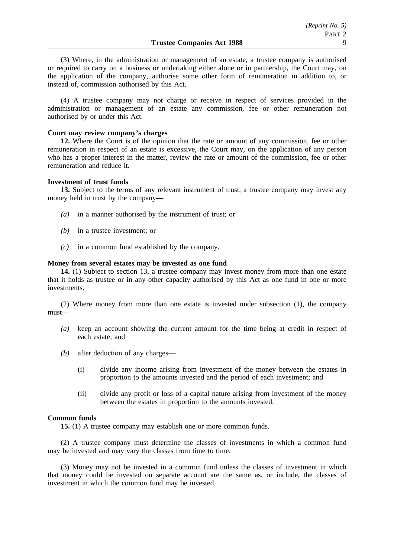(3) Where, in the administration or management of an estate, a trustee company is authorised or required to carry on a business or undertaking either alone or in partnership, the Court may, on the application of the company, authorise some other form of remuneration in addition to, or instead of, commission authorised by this Act.

(4) A trustee company may not charge or receive in respect of services provided in the administration or management of an estate any commission, fee or other remuneration not authorised by or under this Act.

#### **Court may review company's charges**

**12.** Where the Court is of the opinion that the rate or amount of any commission, fee or other remuneration in respect of an estate is excessive, the Court may, on the application of any person who has a proper interest in the matter, review the rate or amount of the commission, fee or other remuneration and reduce it.

#### **Investment of trust funds**

**13.** Subject to the terms of any relevant instrument of trust, a trustee company may invest any money held in trust by the company—

- *(a)* in a manner authorised by the instrument of trust; or
- *(b)* in a trustee investment; or
- *(c)* in a common fund established by the company.

#### **Money from several estates may be invested as one fund**

**14.** (1) Subject to section 13, a trustee company may invest money from more than one estate that it holds as trustee or in any other capacity authorised by this Act as one fund in one or more investments.

(2) Where money from more than one estate is invested under subsection (1), the company must—

- *(a)* keep an account showing the current amount for the time being at credit in respect of each estate; and
- *(b)* after deduction of any charges—
	- (i) divide any income arising from investment of the money between the estates in proportion to the amounts invested and the period of each investment; and
	- (ii) divide any profit or loss of a capital nature arising from investment of the money between the estates in proportion to the amounts invested.

## **Common funds**

**15.** (1) A trustee company may establish one or more common funds.

(2) A trustee company must determine the classes of investments in which a common fund may be invested and may vary the classes from time to time.

(3) Money may not be invested in a common fund unless the classes of investment in which that money could be invested on separate account are the same as, or include, the classes of investment in which the common fund may be invested.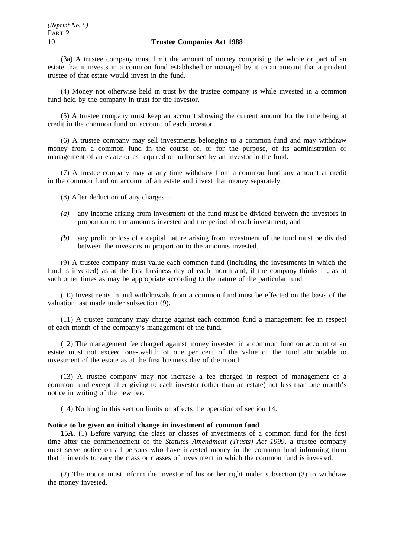(3a) A trustee company must limit the amount of money comprising the whole or part of an estate that it invests in a common fund established or managed by it to an amount that a prudent trustee of that estate would invest in the fund.

(4) Money not otherwise held in trust by the trustee company is while invested in a common fund held by the company in trust for the investor.

(5) A trustee company must keep an account showing the current amount for the time being at credit in the common fund on account of each investor.

(6) A trustee company may sell investments belonging to a common fund and may withdraw money from a common fund in the course of, or for the purpose, of its administration or management of an estate or as required or authorised by an investor in the fund.

(7) A trustee company may at any time withdraw from a common fund any amount at credit in the common fund on account of an estate and invest that money separately.

(8) After deduction of any charges—

- *(a)* any income arising from investment of the fund must be divided between the investors in proportion to the amounts invested and the period of each investment; and
- *(b)* any profit or loss of a capital nature arising from investment of the fund must be divided between the investors in proportion to the amounts invested.

(9) A trustee company must value each common fund (including the investments in which the fund is invested) as at the first business day of each month and, if the company thinks fit, as at such other times as may be appropriate according to the nature of the particular fund.

(10) Investments in and withdrawals from a common fund must be effected on the basis of the valuation last made under subsection (9).

(11) A trustee company may charge against each common fund a management fee in respect of each month of the company's management of the fund.

(12) The management fee charged against money invested in a common fund on account of an estate must not exceed one-twelfth of one per cent of the value of the fund attributable to investment of the estate as at the first business day of the month.

(13) A trustee company may not increase a fee charged in respect of management of a common fund except after giving to each investor (other than an estate) not less than one month's notice in writing of the new fee.

(14) Nothing in this section limits or affects the operation of section 14.

## **Notice to be given on initial change in investment of common fund**

**15A**. (1) Before varying the class or classes of investments of a common fund for the first time after the commencement of the *Statutes Amendment (Trusts) Act 1999*, a trustee company must serve notice on all persons who have invested money in the common fund informing them that it intends to vary the class or classes of investment in which the common fund is invested.

(2) The notice must inform the investor of his or her right under subsection (3) to withdraw the money invested.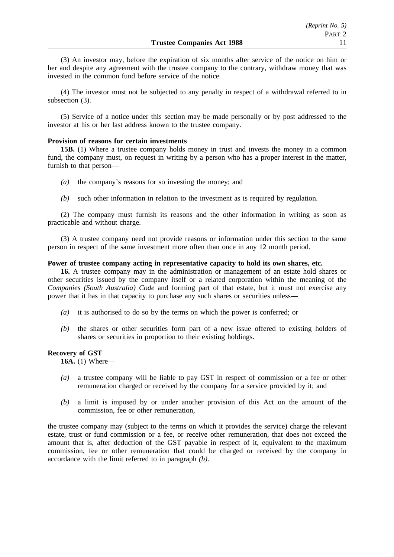(3) An investor may, before the expiration of six months after service of the notice on him or her and despite any agreement with the trustee company to the contrary, withdraw money that was invested in the common fund before service of the notice.

(4) The investor must not be subjected to any penalty in respect of a withdrawal referred to in subsection (3).

(5) Service of a notice under this section may be made personally or by post addressed to the investor at his or her last address known to the trustee company.

## **Provision of reasons for certain investments**

**15B.** (1) Where a trustee company holds money in trust and invests the money in a common fund, the company must, on request in writing by a person who has a proper interest in the matter, furnish to that person—

- *(a)* the company's reasons for so investing the money; and
- *(b)* such other information in relation to the investment as is required by regulation.

(2) The company must furnish its reasons and the other information in writing as soon as practicable and without charge.

(3) A trustee company need not provide reasons or information under this section to the same person in respect of the same investment more often than once in any 12 month period.

## **Power of trustee company acting in representative capacity to hold its own shares, etc.**

**16.** A trustee company may in the administration or management of an estate hold shares or other securities issued by the company itself or a related corporation within the meaning of the *Companies (South Australia) Code* and forming part of that estate, but it must not exercise any power that it has in that capacity to purchase any such shares or securities unless—

- *(a)* it is authorised to do so by the terms on which the power is conferred; or
- *(b)* the shares or other securities form part of a new issue offered to existing holders of shares or securities in proportion to their existing holdings.

# **Recovery of GST**

**16A.** (1) Where—

- *(a)* a trustee company will be liable to pay GST in respect of commission or a fee or other remuneration charged or received by the company for a service provided by it; and
- *(b)* a limit is imposed by or under another provision of this Act on the amount of the commission, fee or other remuneration,

the trustee company may (subject to the terms on which it provides the service) charge the relevant estate, trust or fund commission or a fee, or receive other remuneration, that does not exceed the amount that is, after deduction of the GST payable in respect of it, equivalent to the maximum commission, fee or other remuneration that could be charged or received by the company in accordance with the limit referred to in paragraph *(b)*.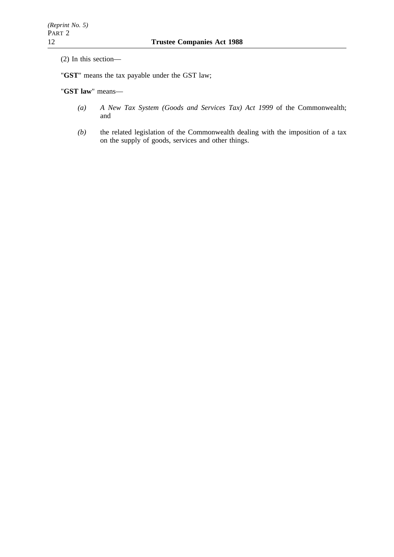(2) In this section—

"**GST**" means the tax payable under the GST law;

"**GST law**" means—

- *(a) A New Tax System (Goods and Services Tax) Act 1999* of the Commonwealth; and
- *(b)* the related legislation of the Commonwealth dealing with the imposition of a tax on the supply of goods, services and other things.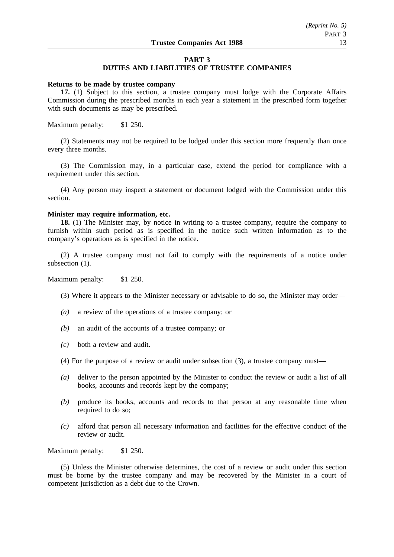## **PART 3**

## **DUTIES AND LIABILITIES OF TRUSTEE COMPANIES**

#### **Returns to be made by trustee company**

**17.** (1) Subject to this section, a trustee company must lodge with the Corporate Affairs Commission during the prescribed months in each year a statement in the prescribed form together with such documents as may be prescribed.

Maximum penalty: \$1 250.

(2) Statements may not be required to be lodged under this section more frequently than once every three months.

(3) The Commission may, in a particular case, extend the period for compliance with a requirement under this section.

(4) Any person may inspect a statement or document lodged with the Commission under this section.

## **Minister may require information, etc.**

**18.** (1) The Minister may, by notice in writing to a trustee company, require the company to furnish within such period as is specified in the notice such written information as to the company's operations as is specified in the notice.

(2) A trustee company must not fail to comply with the requirements of a notice under subsection  $(1)$ .

Maximum penalty: \$1 250.

- (3) Where it appears to the Minister necessary or advisable to do so, the Minister may order—
- *(a)* a review of the operations of a trustee company; or
- *(b)* an audit of the accounts of a trustee company; or
- *(c)* both a review and audit.
- (4) For the purpose of a review or audit under subsection (3), a trustee company must—
- *(a)* deliver to the person appointed by the Minister to conduct the review or audit a list of all books, accounts and records kept by the company;
- *(b)* produce its books, accounts and records to that person at any reasonable time when required to do so:
- *(c)* afford that person all necessary information and facilities for the effective conduct of the review or audit.

Maximum penalty: \$1 250.

(5) Unless the Minister otherwise determines, the cost of a review or audit under this section must be borne by the trustee company and may be recovered by the Minister in a court of competent jurisdiction as a debt due to the Crown.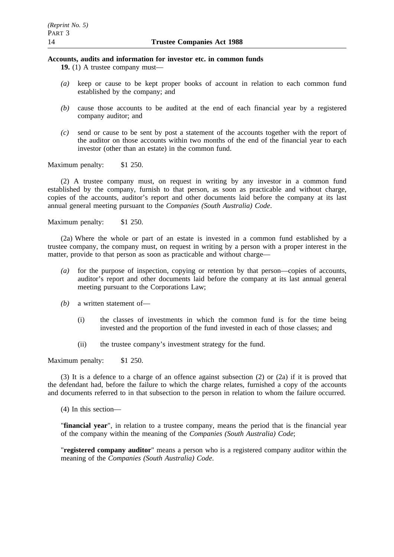# **Accounts, audits and information for investor etc. in common funds**

**19.** (1) A trustee company must—

- *(a)* keep or cause to be kept proper books of account in relation to each common fund established by the company; and
- *(b)* cause those accounts to be audited at the end of each financial year by a registered company auditor; and
- *(c)* send or cause to be sent by post a statement of the accounts together with the report of the auditor on those accounts within two months of the end of the financial year to each investor (other than an estate) in the common fund.

Maximum penalty: \$1 250.

(2) A trustee company must, on request in writing by any investor in a common fund established by the company, furnish to that person, as soon as practicable and without charge, copies of the accounts, auditor's report and other documents laid before the company at its last annual general meeting pursuant to the *Companies (South Australia) Code*.

Maximum penalty: \$1 250.

(2a) Where the whole or part of an estate is invested in a common fund established by a trustee company, the company must, on request in writing by a person with a proper interest in the matter, provide to that person as soon as practicable and without charge—

- *(a)* for the purpose of inspection, copying or retention by that person—copies of accounts, auditor's report and other documents laid before the company at its last annual general meeting pursuant to the Corporations Law;
- *(b)* a written statement of—
	- (i) the classes of investments in which the common fund is for the time being invested and the proportion of the fund invested in each of those classes; and
	- (ii) the trustee company's investment strategy for the fund.

Maximum penalty: \$1 250.

(3) It is a defence to a charge of an offence against subsection (2) or (2a) if it is proved that the defendant had, before the failure to which the charge relates, furnished a copy of the accounts and documents referred to in that subsection to the person in relation to whom the failure occurred.

(4) In this section—

"**financial year**", in relation to a trustee company, means the period that is the financial year of the company within the meaning of the *Companies (South Australia) Code*;

"**registered company auditor**" means a person who is a registered company auditor within the meaning of the *Companies (South Australia) Code*.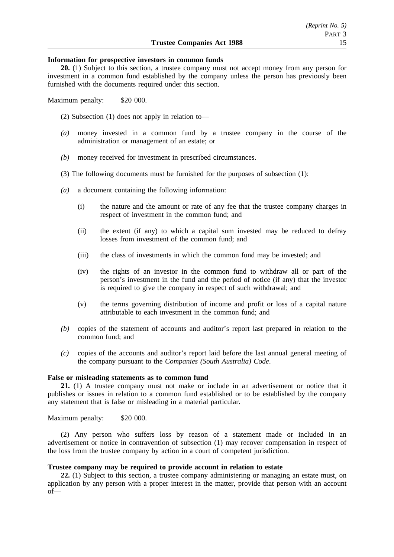#### **Information for prospective investors in common funds**

**20.** (1) Subject to this section, a trustee company must not accept money from any person for investment in a common fund established by the company unless the person has previously been furnished with the documents required under this section.

Maximum penalty: \$20 000.

(2) Subsection (1) does not apply in relation to—

- *(a)* money invested in a common fund by a trustee company in the course of the administration or management of an estate; or
- *(b)* money received for investment in prescribed circumstances.
- (3) The following documents must be furnished for the purposes of subsection (1):
- *(a)* a document containing the following information:
	- (i) the nature and the amount or rate of any fee that the trustee company charges in respect of investment in the common fund; and
	- (ii) the extent (if any) to which a capital sum invested may be reduced to defray losses from investment of the common fund; and
	- (iii) the class of investments in which the common fund may be invested; and
	- (iv) the rights of an investor in the common fund to withdraw all or part of the person's investment in the fund and the period of notice (if any) that the investor is required to give the company in respect of such withdrawal; and
	- (v) the terms governing distribution of income and profit or loss of a capital nature attributable to each investment in the common fund; and
- *(b)* copies of the statement of accounts and auditor's report last prepared in relation to the common fund; and
- *(c)* copies of the accounts and auditor's report laid before the last annual general meeting of the company pursuant to the *Companies (South Australia) Code*.

#### **False or misleading statements as to common fund**

**21.** (1) A trustee company must not make or include in an advertisement or notice that it publishes or issues in relation to a common fund established or to be established by the company any statement that is false or misleading in a material particular.

Maximum penalty: \$20 000.

(2) Any person who suffers loss by reason of a statement made or included in an advertisement or notice in contravention of subsection (1) may recover compensation in respect of the loss from the trustee company by action in a court of competent jurisdiction.

## **Trustee company may be required to provide account in relation to estate**

**22.** (1) Subject to this section, a trustee company administering or managing an estate must, on application by any person with a proper interest in the matter, provide that person with an account of—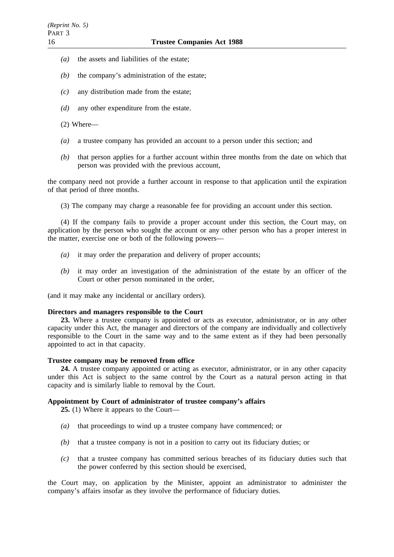- *(a)* the assets and liabilities of the estate;
- *(b)* the company's administration of the estate;
- *(c)* any distribution made from the estate;
- *(d)* any other expenditure from the estate.
- (2) Where—
- *(a)* a trustee company has provided an account to a person under this section; and
- *(b)* that person applies for a further account within three months from the date on which that person was provided with the previous account,

the company need not provide a further account in response to that application until the expiration of that period of three months.

(3) The company may charge a reasonable fee for providing an account under this section.

(4) If the company fails to provide a proper account under this section, the Court may, on application by the person who sought the account or any other person who has a proper interest in the matter, exercise one or both of the following powers—

- *(a)* it may order the preparation and delivery of proper accounts;
- *(b)* it may order an investigation of the administration of the estate by an officer of the Court or other person nominated in the order,

(and it may make any incidental or ancillary orders).

#### **Directors and managers responsible to the Court**

**23.** Where a trustee company is appointed or acts as executor, administrator, or in any other capacity under this Act, the manager and directors of the company are individually and collectively responsible to the Court in the same way and to the same extent as if they had been personally appointed to act in that capacity.

## **Trustee company may be removed from office**

**24.** A trustee company appointed or acting as executor, administrator, or in any other capacity under this Act is subject to the same control by the Court as a natural person acting in that capacity and is similarly liable to removal by the Court.

## **Appointment by Court of administrator of trustee company's affairs**

**25.** (1) Where it appears to the Court—

- *(a)* that proceedings to wind up a trustee company have commenced; or
- *(b)* that a trustee company is not in a position to carry out its fiduciary duties; or
- *(c)* that a trustee company has committed serious breaches of its fiduciary duties such that the power conferred by this section should be exercised,

the Court may, on application by the Minister, appoint an administrator to administer the company's affairs insofar as they involve the performance of fiduciary duties.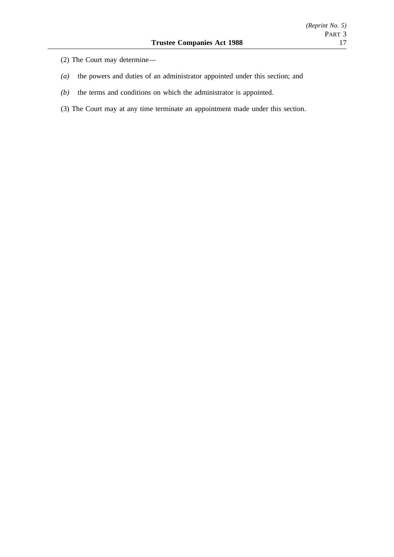- (2) The Court may determine—
- *(a)* the powers and duties of an administrator appointed under this section; and
- *(b)* the terms and conditions on which the administrator is appointed.
- (3) The Court may at any time terminate an appointment made under this section.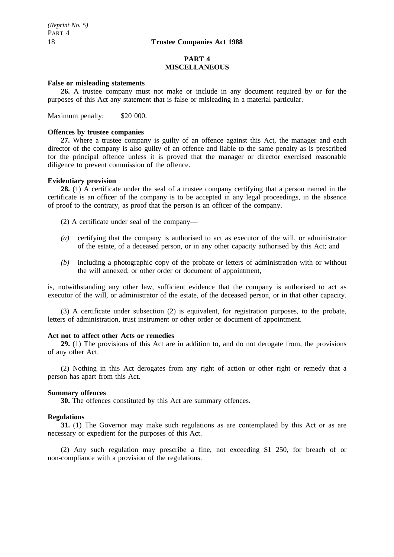## **PART 4 MISCELLANEOUS**

## **False or misleading statements**

**26.** A trustee company must not make or include in any document required by or for the purposes of this Act any statement that is false or misleading in a material particular.

Maximum penalty: \$20 000.

#### **Offences by trustee companies**

**27.** Where a trustee company is guilty of an offence against this Act, the manager and each director of the company is also guilty of an offence and liable to the same penalty as is prescribed for the principal offence unless it is proved that the manager or director exercised reasonable diligence to prevent commission of the offence.

#### **Evidentiary provision**

**28.** (1) A certificate under the seal of a trustee company certifying that a person named in the certificate is an officer of the company is to be accepted in any legal proceedings, in the absence of proof to the contrary, as proof that the person is an officer of the company.

(2) A certificate under seal of the company—

- *(a)* certifying that the company is authorised to act as executor of the will, or administrator of the estate, of a deceased person, or in any other capacity authorised by this Act; and
- *(b)* including a photographic copy of the probate or letters of administration with or without the will annexed, or other order or document of appointment,

is, notwithstanding any other law, sufficient evidence that the company is authorised to act as executor of the will, or administrator of the estate, of the deceased person, or in that other capacity.

(3) A certificate under subsection (2) is equivalent, for registration purposes, to the probate, letters of administration, trust instrument or other order or document of appointment.

#### **Act not to affect other Acts or remedies**

**29.** (1) The provisions of this Act are in addition to, and do not derogate from, the provisions of any other Act.

(2) Nothing in this Act derogates from any right of action or other right or remedy that a person has apart from this Act.

#### **Summary offences**

**30.** The offences constituted by this Act are summary offences.

## **Regulations**

**31.** (1) The Governor may make such regulations as are contemplated by this Act or as are necessary or expedient for the purposes of this Act.

(2) Any such regulation may prescribe a fine, not exceeding \$1 250, for breach of or non-compliance with a provision of the regulations.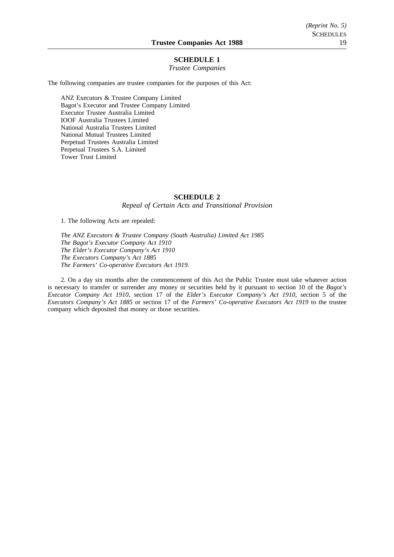## **SCHEDULE 1**

#### *Trustee Companies*

The following companies are trustee companies for the purposes of this Act:

ANZ Executors & Trustee Company Limited Bagot's Executor and Trustee Company Limited Executor Trustee Australia Limited IOOF Australia Trustees Limited National Australia Trustees Limited National Mutual Trustees Limited Perpetual Trustees Australia Limited Perpetual Trustees S.A. Limited Tower Trust Limited

#### **SCHEDULE 2**

*Repeal of Certain Acts and Transitional Provision*

1. The following Acts are repealed:

*The ANZ Executors & Trustee Company (South Australia) Limited Act 1985 The Bagot's Executor Company Act 1910 The Elder's Executor Company's Act 1910 The Executors Company's Act 1885 The Farmers' Co-operative Executors Act 1919.*

2. On a day six months after the commencement of this Act the Public Trustee must take whatever action is necessary to transfer or surrender any money or securities held by it pursuant to section 10 of the *Bagot's Executor Company Act 1910*, section 17 of the *Elder's Executor Company's Act 1910*, section 5 of the *Executors Company's Act 1885* or section 17 of the *Farmers' Co-operative Executors Act 1919* to the trustee company which deposited that money or those securities.